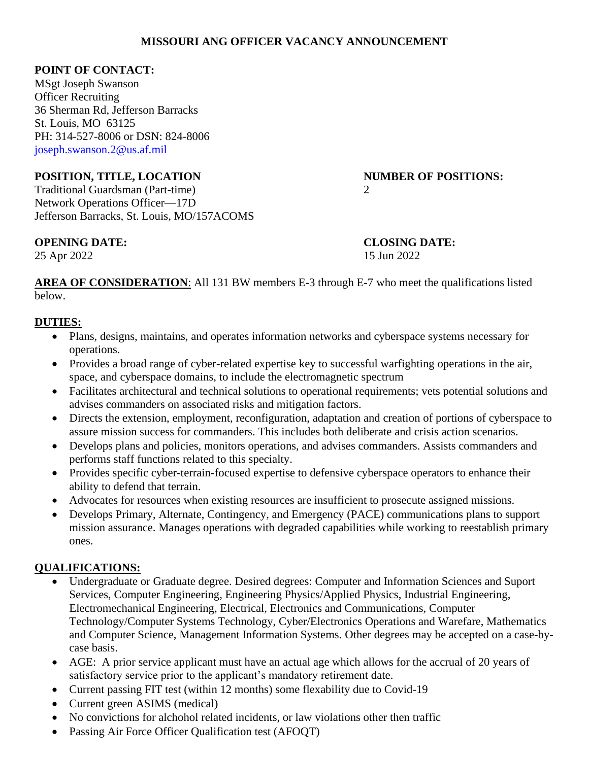#### **MISSOURI ANG OFFICER VACANCY ANNOUNCEMENT**

#### **POINT OF CONTACT:**

MSgt Joseph Swanson Officer Recruiting 36 Sherman Rd, Jefferson Barracks St. Louis, MO 63125 PH: 314-527-8006 or DSN: 824-8006 [joseph.swanson.2@us.af.mil](mailto:Kirsten.bayless@us.af.mil)

#### **POSITION, TITLE, LOCATION NUMBER OF POSITIONS:**

Traditional Guardsman (Part-time) 2 Network Operations Officer—17D Jefferson Barracks, St. Louis, MO/157ACOMS

## **OPENING DATE: CLOSING DATE:**

25 Apr 2022 15 Jun 2022

**AREA OF CONSIDERATION:** All 131 BW members E-3 through E-7 who meet the qualifications listed below.

## **DUTIES:**

- Plans, designs, maintains, and operates information networks and cyberspace systems necessary for operations.
- Provides a broad range of cyber-related expertise key to successful warfighting operations in the air, space, and cyberspace domains, to include the electromagnetic spectrum
- Facilitates architectural and technical solutions to operational requirements; vets potential solutions and advises commanders on associated risks and mitigation factors.
- Directs the extension, employment, reconfiguration, adaptation and creation of portions of cyberspace to assure mission success for commanders. This includes both deliberate and crisis action scenarios.
- Develops plans and policies, monitors operations, and advises commanders. Assists commanders and performs staff functions related to this specialty.
- Provides specific cyber-terrain-focused expertise to defensive cyberspace operators to enhance their ability to defend that terrain.
- Advocates for resources when existing resources are insufficient to prosecute assigned missions.
- Develops Primary, Alternate, Contingency, and Emergency (PACE) communications plans to support mission assurance. Manages operations with degraded capabilities while working to reestablish primary ones.

## **QUALIFICATIONS:**

- Undergraduate or Graduate degree. Desired degrees: Computer and Information Sciences and Suport Services, Computer Engineering, Engineering Physics/Applied Physics, Industrial Engineering, Electromechanical Engineering, Electrical, Electronics and Communications, Computer Technology/Computer Systems Technology, Cyber/Electronics Operations and Warefare, Mathematics and Computer Science, Management Information Systems. Other degrees may be accepted on a case-bycase basis.
- AGE: A prior service applicant must have an actual age which allows for the accrual of 20 years of satisfactory service prior to the applicant's mandatory retirement date.
- Current passing FIT test (within 12 months) some flexability due to Covid-19
- Current green ASIMS (medical)
- No convictions for alchohol related incidents, or law violations other then traffic
- Passing Air Force Officer Qualification test (AFOOT)